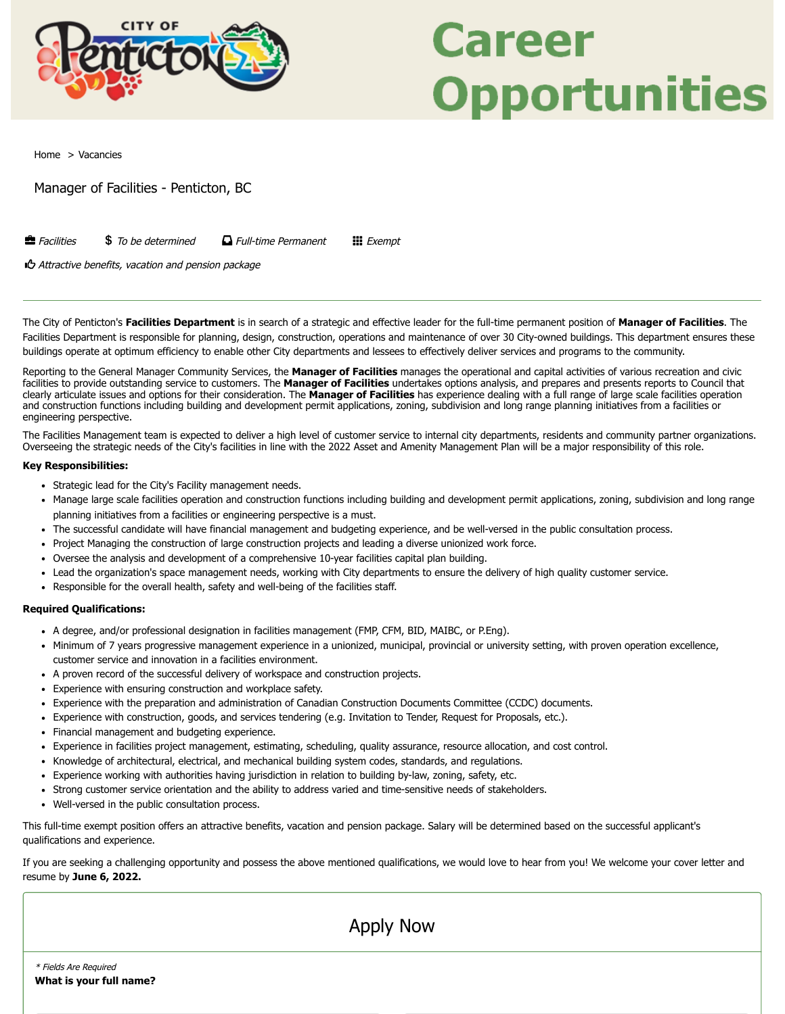

## Career **Opportunities**

[Home](https://penticton.prevueaps.ca/internaljobs/) > Vacancies

Manager of Facilities - Penticton, BC

Facilities To be determined Full-time Permanent Exempt

Attractive benefits, vacation and pension package

The City of Penticton's **Facilities Department** is in search of a strategic and effective leader for the full-time permanent position of **Manager of Facilities**. The Facilities Department is responsible for planning, design, construction, operations and maintenance of over 30 City-owned buildings. This department ensures these buildings operate at optimum efficiency to enable other City departments and lessees to effectively deliver services and programs to the community.

Reporting to the General Manager Community Services, the **Manager of Facilities** manages the operational and capital activities of various recreation and civic facilities to provide outstanding service to customers. The **Manager of Facilities** undertakes options analysis, and prepares and presents reports to Council that clearly articulate issues and options for their consideration. The **Manager of Facilities** has experience dealing with a full range of large scale facilities operation and construction functions including building and development permit applications, zoning, subdivision and long range planning initiatives from a facilities or engineering perspective.

The Facilities Management team is expected to deliver a high level of customer service to internal city departments, residents and community partner organizations. Overseeing the strategic needs of the City's facilities in line with the 2022 Asset and Amenity Management Plan will be a major responsibility of this role.

## **Key Responsibilities:**

- Strategic lead for the City's Facility management needs.
- Manage large scale facilities operation and construction functions including building and development permit applications, zoning, subdivision and long range planning initiatives from a facilities or engineering perspective is a must.
- The successful candidate will have financial management and budgeting experience, and be well-versed in the public consultation process.
- Project Managing the construction of large construction projects and leading a diverse unionized work force.
- Oversee the analysis and development of a comprehensive 10-year facilities capital plan building.
- Lead the organization's space management needs, working with City departments to ensure the delivery of high quality customer service.
- Responsible for the overall health, safety and well-being of the facilities staff.

## **Required Qualifications:**

- A degree, and/or professional designation in facilities management (FMP, CFM, BID, MAIBC, or P.Eng).
- Minimum of 7 years progressive management experience in a unionized, municipal, provincial or university setting, with proven operation excellence, customer service and innovation in a facilities environment.
- A proven record of the successful delivery of workspace and construction projects.
- Experience with ensuring construction and workplace safety.
- Experience with the preparation and administration of Canadian Construction Documents Committee (CCDC) documents.
- Experience with construction, goods, and services tendering (e.g. Invitation to Tender, Request for Proposals, etc.).
- Financial management and budgeting experience.
- Experience in facilities project management, estimating, scheduling, quality assurance, resource allocation, and cost control.
- Knowledge of architectural, electrical, and mechanical building system codes, standards, and regulations.
- Experience working with authorities having jurisdiction in relation to building by-law, zoning, safety, etc.  $\bullet$
- Strong customer service orientation and the ability to address varied and time-sensitive needs of stakeholders.
- Well-versed in the public consultation process.

This full-time exempt position offers an attractive benefits, vacation and pension package. Salary will be determined based on the successful applicant's qualifications and experience.

If you are seeking a challenging opportunity and possess the above mentioned qualifications, we would love to hear from you! We welcome your cover letter and resume by **June 6, 2022.**

Apply Now